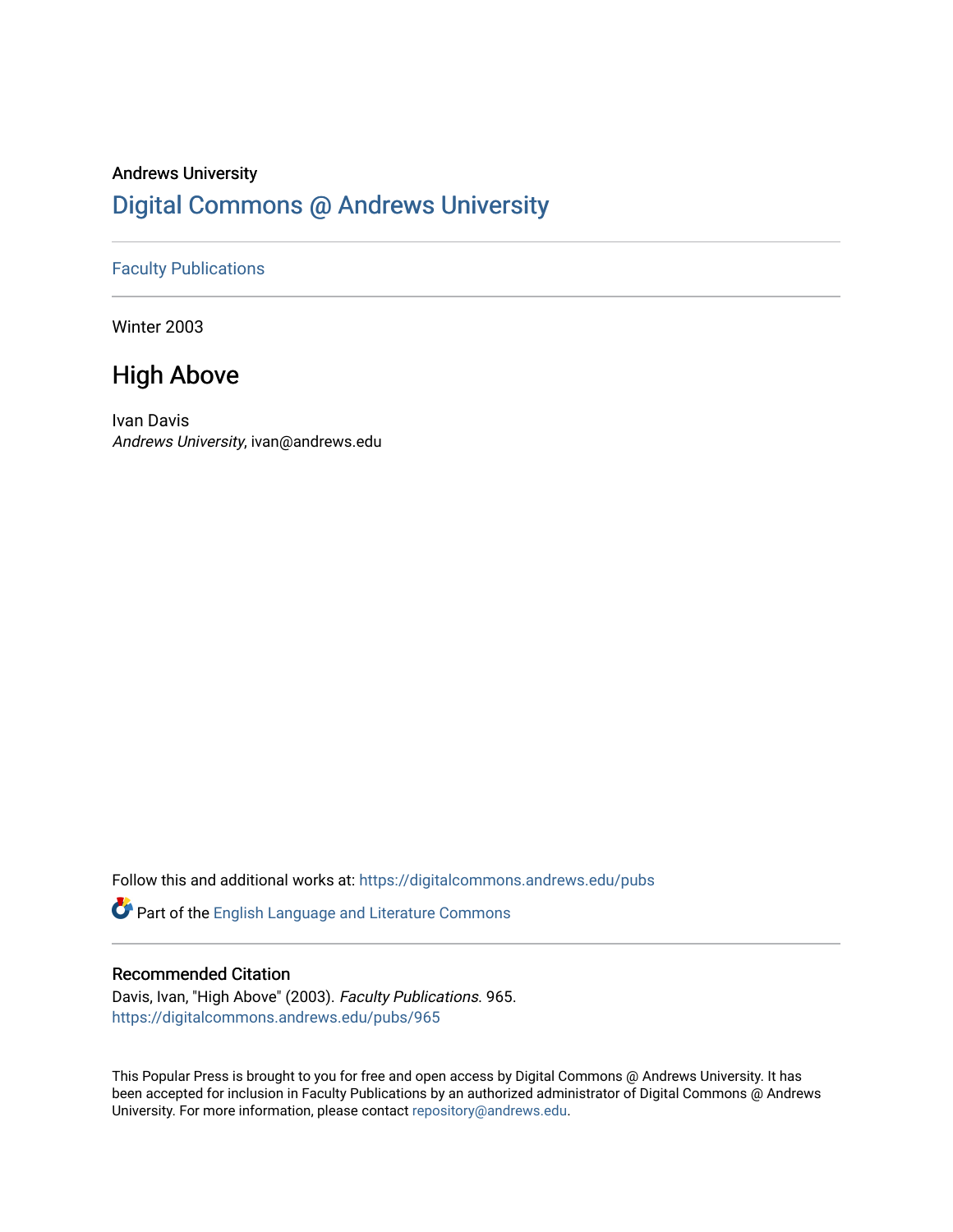## Andrews University [Digital Commons @ Andrews University](https://digitalcommons.andrews.edu/)

#### [Faculty Publications](https://digitalcommons.andrews.edu/pubs)

Winter 2003

## High Above

Ivan Davis Andrews University, ivan@andrews.edu

Follow this and additional works at: [https://digitalcommons.andrews.edu/pubs](https://digitalcommons.andrews.edu/pubs?utm_source=digitalcommons.andrews.edu%2Fpubs%2F965&utm_medium=PDF&utm_campaign=PDFCoverPages) 

Part of the [English Language and Literature Commons](http://network.bepress.com/hgg/discipline/455?utm_source=digitalcommons.andrews.edu%2Fpubs%2F965&utm_medium=PDF&utm_campaign=PDFCoverPages)

#### Recommended Citation

Davis, Ivan, "High Above" (2003). Faculty Publications. 965. [https://digitalcommons.andrews.edu/pubs/965](https://digitalcommons.andrews.edu/pubs/965?utm_source=digitalcommons.andrews.edu%2Fpubs%2F965&utm_medium=PDF&utm_campaign=PDFCoverPages) 

This Popular Press is brought to you for free and open access by Digital Commons @ Andrews University. It has been accepted for inclusion in Faculty Publications by an authorized administrator of Digital Commons @ Andrews University. For more information, please contact [repository@andrews.edu](mailto:repository@andrews.edu).